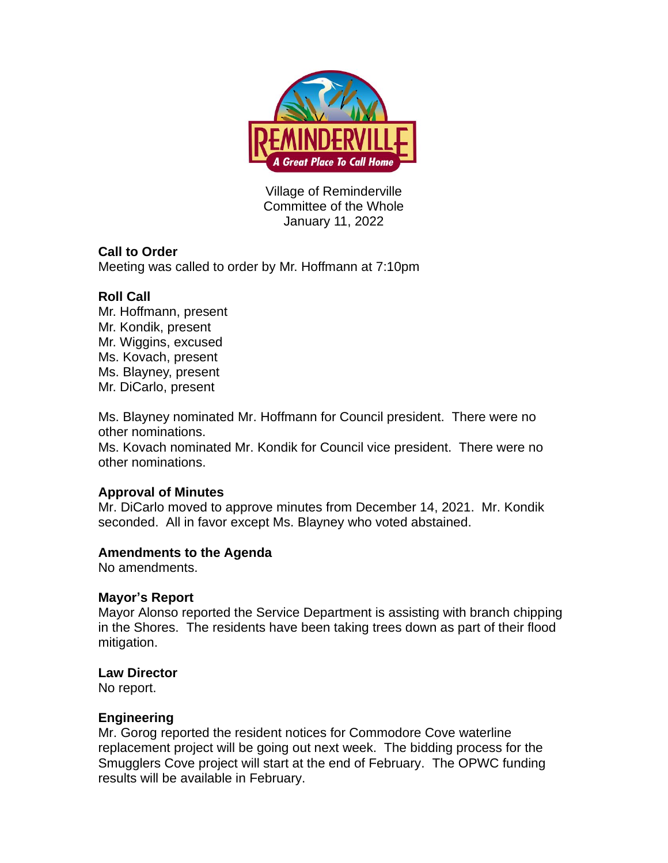

Village of Reminderville Committee of the Whole January 11, 2022

## **Call to Order**

Meeting was called to order by Mr. Hoffmann at 7:10pm

## **Roll Call**

Mr. Hoffmann, present Mr. Kondik, present Mr. Wiggins, excused Ms. Kovach, present Ms. Blayney, present Mr. DiCarlo, present

Ms. Blayney nominated Mr. Hoffmann for Council president. There were no other nominations.

Ms. Kovach nominated Mr. Kondik for Council vice president. There were no other nominations.

### **Approval of Minutes**

Mr. DiCarlo moved to approve minutes from December 14, 2021. Mr. Kondik seconded. All in favor except Ms. Blayney who voted abstained.

### **Amendments to the Agenda**

No amendments.

### **Mayor's Report**

Mayor Alonso reported the Service Department is assisting with branch chipping in the Shores. The residents have been taking trees down as part of their flood mitigation.

### **Law Director**

No report.

### **Engineering**

Mr. Gorog reported the resident notices for Commodore Cove waterline replacement project will be going out next week. The bidding process for the Smugglers Cove project will start at the end of February. The OPWC funding results will be available in February.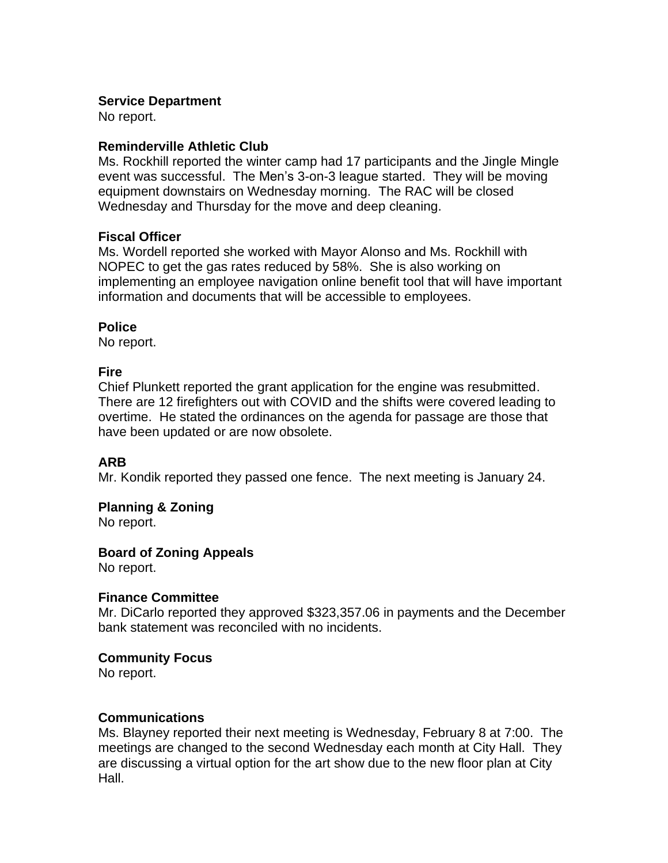### **Service Department**

No report.

### **Reminderville Athletic Club**

Ms. Rockhill reported the winter camp had 17 participants and the Jingle Mingle event was successful. The Men's 3-on-3 league started. They will be moving equipment downstairs on Wednesday morning. The RAC will be closed Wednesday and Thursday for the move and deep cleaning.

### **Fiscal Officer**

Ms. Wordell reported she worked with Mayor Alonso and Ms. Rockhill with NOPEC to get the gas rates reduced by 58%. She is also working on implementing an employee navigation online benefit tool that will have important information and documents that will be accessible to employees.

## **Police**

No report.

## **Fire**

Chief Plunkett reported the grant application for the engine was resubmitted. There are 12 firefighters out with COVID and the shifts were covered leading to overtime. He stated the ordinances on the agenda for passage are those that have been updated or are now obsolete.

# **ARB**

Mr. Kondik reported they passed one fence. The next meeting is January 24.

# **Planning & Zoning**

No report.

# **Board of Zoning Appeals**

No report.

### **Finance Committee**

Mr. DiCarlo reported they approved \$323,357.06 in payments and the December bank statement was reconciled with no incidents.

### **Community Focus**

No report.

### **Communications**

Ms. Blayney reported their next meeting is Wednesday, February 8 at 7:00. The meetings are changed to the second Wednesday each month at City Hall. They are discussing a virtual option for the art show due to the new floor plan at City Hall.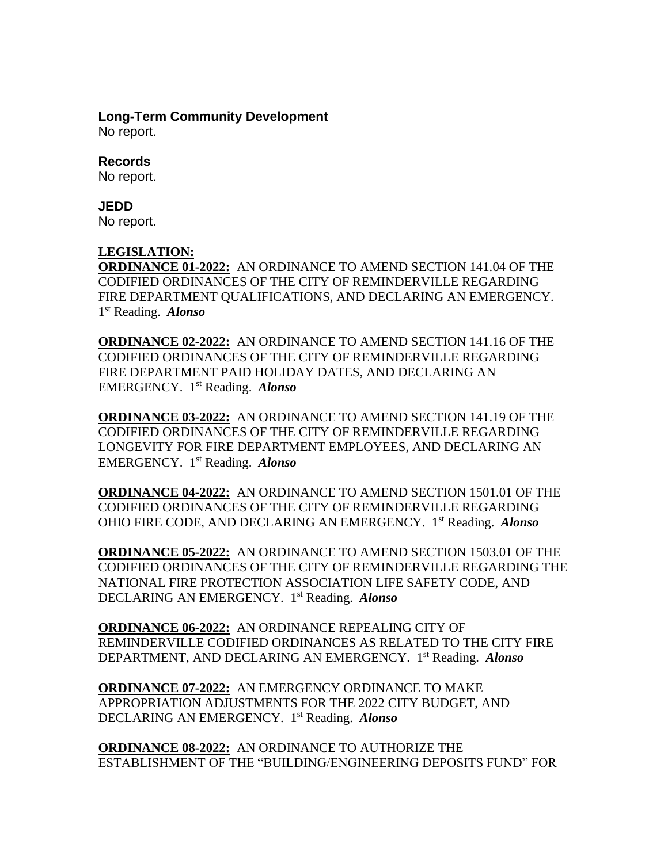### **Long-Term Community Development**

No report.

### **Records**

No report.

#### **JEDD**

No report.

#### **LEGISLATION:**

**ORDINANCE 01-2022:** AN ORDINANCE TO AMEND SECTION 141.04 OF THE CODIFIED ORDINANCES OF THE CITY OF REMINDERVILLE REGARDING FIRE DEPARTMENT QUALIFICATIONS, AND DECLARING AN EMERGENCY. 1 st Reading. *Alonso* 

**ORDINANCE 02-2022:** AN ORDINANCE TO AMEND SECTION 141.16 OF THE CODIFIED ORDINANCES OF THE CITY OF REMINDERVILLE REGARDING FIRE DEPARTMENT PAID HOLIDAY DATES, AND DECLARING AN EMERGENCY. 1 st Reading. *Alonso* 

**ORDINANCE 03-2022:** AN ORDINANCE TO AMEND SECTION 141.19 OF THE CODIFIED ORDINANCES OF THE CITY OF REMINDERVILLE REGARDING LONGEVITY FOR FIRE DEPARTMENT EMPLOYEES, AND DECLARING AN EMERGENCY. 1 st Reading. *Alonso* 

**ORDINANCE 04-2022:** AN ORDINANCE TO AMEND SECTION 1501.01 OF THE CODIFIED ORDINANCES OF THE CITY OF REMINDERVILLE REGARDING OHIO FIRE CODE, AND DECLARING AN EMERGENCY. 1 st Reading. *Alonso* 

**ORDINANCE 05-2022:** AN ORDINANCE TO AMEND SECTION 1503.01 OF THE CODIFIED ORDINANCES OF THE CITY OF REMINDERVILLE REGARDING THE NATIONAL FIRE PROTECTION ASSOCIATION LIFE SAFETY CODE, AND DECLARING AN EMERGENCY. 1 st Reading. *Alonso* 

**ORDINANCE 06-2022:** AN ORDINANCE REPEALING CITY OF REMINDERVILLE CODIFIED ORDINANCES AS RELATED TO THE CITY FIRE DEPARTMENT, AND DECLARING AN EMERGENCY. 1 st Reading. *Alonso* 

**ORDINANCE 07-2022:** AN EMERGENCY ORDINANCE TO MAKE APPROPRIATION ADJUSTMENTS FOR THE 2022 CITY BUDGET, AND DECLARING AN EMERGENCY. 1 st Reading. *Alonso*

**ORDINANCE 08-2022:** AN ORDINANCE TO AUTHORIZE THE ESTABLISHMENT OF THE "BUILDING/ENGINEERING DEPOSITS FUND" FOR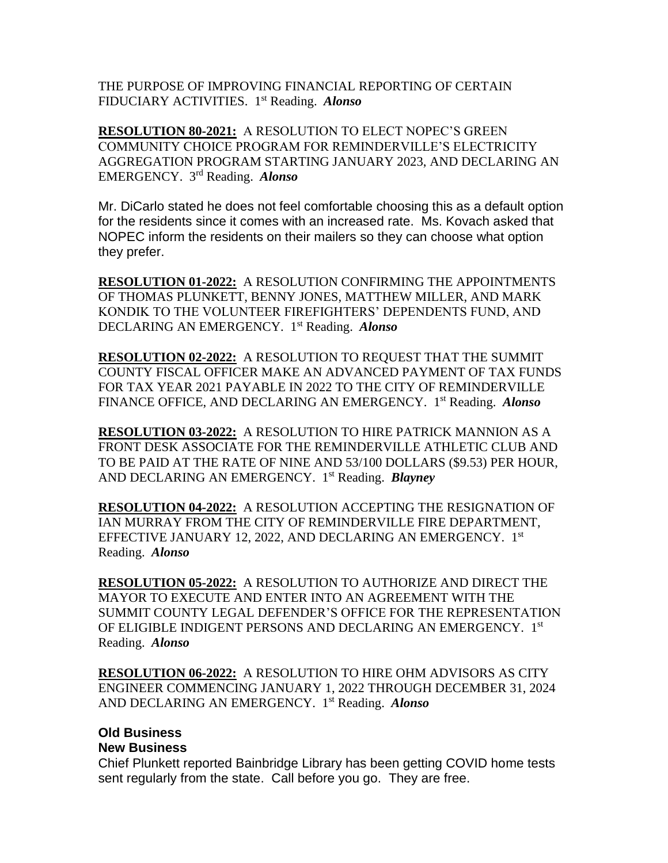THE PURPOSE OF IMPROVING FINANCIAL REPORTING OF CERTAIN FIDUCIARY ACTIVITIES. 1 st Reading. *Alonso* 

**RESOLUTION 80-2021:** A RESOLUTION TO ELECT NOPEC'S GREEN COMMUNITY CHOICE PROGRAM FOR REMINDERVILLE'S ELECTRICITY AGGREGATION PROGRAM STARTING JANUARY 2023, AND DECLARING AN EMERGENCY. 3 rd Reading. *Alonso*

Mr. DiCarlo stated he does not feel comfortable choosing this as a default option for the residents since it comes with an increased rate. Ms. Kovach asked that NOPEC inform the residents on their mailers so they can choose what option they prefer.

**RESOLUTION 01-2022:** A RESOLUTION CONFIRMING THE APPOINTMENTS OF THOMAS PLUNKETT, BENNY JONES, MATTHEW MILLER, AND MARK KONDIK TO THE VOLUNTEER FIREFIGHTERS' DEPENDENTS FUND, AND DECLARING AN EMERGENCY. 1 st Reading. *Alonso* 

**RESOLUTION 02-2022:** A RESOLUTION TO REQUEST THAT THE SUMMIT COUNTY FISCAL OFFICER MAKE AN ADVANCED PAYMENT OF TAX FUNDS FOR TAX YEAR 2021 PAYABLE IN 2022 TO THE CITY OF REMINDERVILLE FINANCE OFFICE, AND DECLARING AN EMERGENCY. 1 st Reading. *Alonso*

**RESOLUTION 03-2022:** A RESOLUTION TO HIRE PATRICK MANNION AS A FRONT DESK ASSOCIATE FOR THE REMINDERVILLE ATHLETIC CLUB AND TO BE PAID AT THE RATE OF NINE AND 53/100 DOLLARS (\$9.53) PER HOUR, AND DECLARING AN EMERGENCY. 1 st Reading. *Blayney*

**RESOLUTION 04-2022:** A RESOLUTION ACCEPTING THE RESIGNATION OF IAN MURRAY FROM THE CITY OF REMINDERVILLE FIRE DEPARTMENT, EFFECTIVE JANUARY 12, 2022, AND DECLARING AN EMERGENCY. 1st Reading. *Alonso*

**RESOLUTION 05-2022:** A RESOLUTION TO AUTHORIZE AND DIRECT THE MAYOR TO EXECUTE AND ENTER INTO AN AGREEMENT WITH THE SUMMIT COUNTY LEGAL DEFENDER'S OFFICE FOR THE REPRESENTATION OF ELIGIBLE INDIGENT PERSONS AND DECLARING AN EMERGENCY. 1st Reading. *Alonso*

**RESOLUTION 06-2022:** A RESOLUTION TO HIRE OHM ADVISORS AS CITY ENGINEER COMMENCING JANUARY 1, 2022 THROUGH DECEMBER 31, 2024 AND DECLARING AN EMERGENCY. 1 st Reading. *Alonso*

# **Old Business**

#### **New Business**

Chief Plunkett reported Bainbridge Library has been getting COVID home tests sent regularly from the state. Call before you go. They are free.